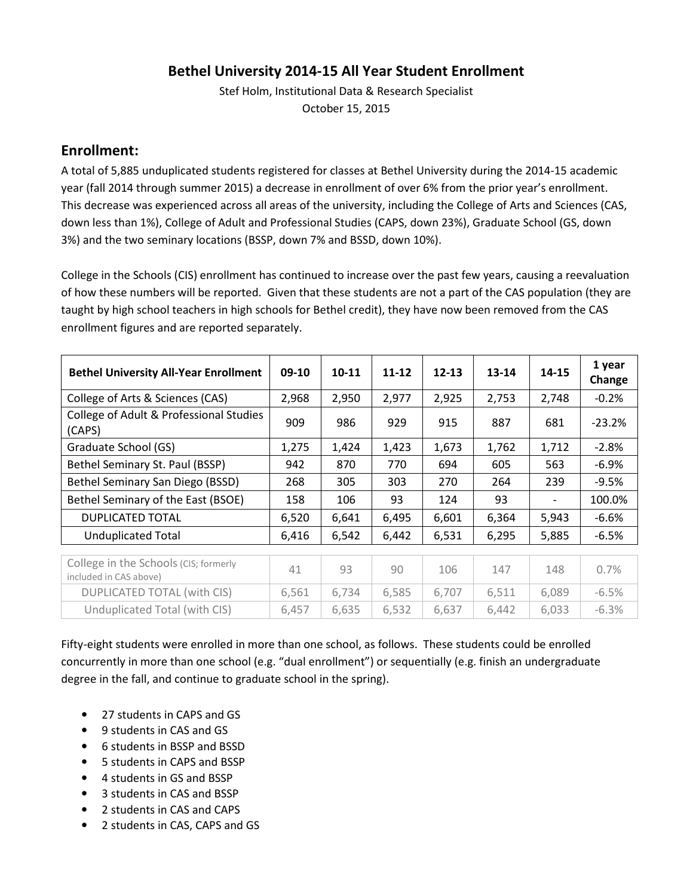### **Bethel University 2014-15 All Year Student Enrollment**

Stef Holm, Institutional Data & Research Specialist October 15, 2015

#### **Enrollment:**

A total of 5,885 unduplicated students registered for classes at Bethel University during the 2014-15 academic year (fall 2014 through summer 2015) a decrease in enrollment of over 6% from the prior year's enrollment. This decrease was experienced across all areas of the university, including the College of Arts and Sciences (CAS, down less than 1%), College of Adult and Professional Studies (CAPS, down 23%), Graduate School (GS, down 3%) and the two seminary locations (BSSP, down 7% and BSSD, down 10%).

College in the Schools (CIS) enrollment has continued to increase over the past few years, causing a reevaluation of how these numbers will be reported. Given that these students are not a part of the CAS population (they are taught by high school teachers in high schools for Bethel credit), they have now been removed from the CAS enrollment figures and are reported separately.

| <b>Bethel University All-Year Enrollment</b>                    | 09-10 | $10 - 11$ | 11-12 | $12 - 13$ | 13-14 | 14-15 | 1 year<br>Change |
|-----------------------------------------------------------------|-------|-----------|-------|-----------|-------|-------|------------------|
| College of Arts & Sciences (CAS)                                | 2,968 | 2,950     | 2,977 | 2,925     | 2,753 | 2,748 | $-0.2%$          |
| College of Adult & Professional Studies<br>(CAPS)               | 909   | 986       | 929   | 915       | 887   | 681   | $-23.2%$         |
| Graduate School (GS)                                            | 1,275 | 1,424     | 1,423 | 1,673     | 1,762 | 1,712 | $-2.8%$          |
| Bethel Seminary St. Paul (BSSP)                                 | 942   | 870       | 770   | 694       | 605   | 563   | $-6.9\%$         |
| Bethel Seminary San Diego (BSSD)                                | 268   | 305       | 303   | 270       | 264   | 239   | $-9.5%$          |
| Bethel Seminary of the East (BSOE)                              | 158   | 106       | 93    | 124       | 93    |       | 100.0%           |
| <b>DUPLICATED TOTAL</b>                                         | 6,520 | 6,641     | 6,495 | 6,601     | 6,364 | 5,943 | $-6.6%$          |
| <b>Unduplicated Total</b>                                       | 6,416 | 6,542     | 6,442 | 6,531     | 6,295 | 5,885 | $-6.5%$          |
|                                                                 |       |           |       |           |       |       |                  |
| College in the Schools (CIS; formerly<br>included in CAS above) | 41    | 93        | 90    | 106       | 147   | 148   | 0.7%             |
| <b>DUPLICATED TOTAL (with CIS)</b>                              | 6,561 | 6,734     | 6,585 | 6,707     | 6,511 | 6,089 | $-6.5%$          |
| Unduplicated Total (with CIS)                                   | 6,457 | 6,635     | 6,532 | 6,637     | 6,442 | 6,033 | $-6.3%$          |

Fifty-eight students were enrolled in more than one school, as follows. These students could be enrolled concurrently in more than one school (e.g. "dual enrollment") or sequentially (e.g. finish an undergraduate degree in the fall, and continue to graduate school in the spring).

- 27 students in CAPS and GS
- 9 students in CAS and GS
- 6 students in BSSP and BSSD
- 5 students in CAPS and BSSP
- 4 students in GS and BSSP
- 3 students in CAS and BSSP
- 2 students in CAS and CAPS
- 2 students in CAS, CAPS and GS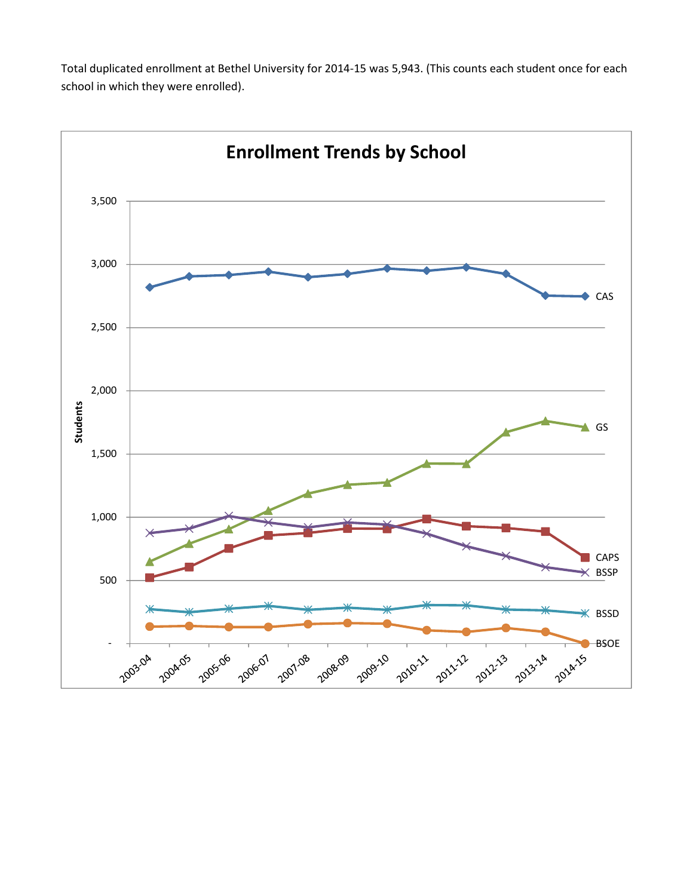Total duplicated enrollment at Bethel University for 2014-15 was 5,943. (This counts each student once for each school in which they were enrolled).

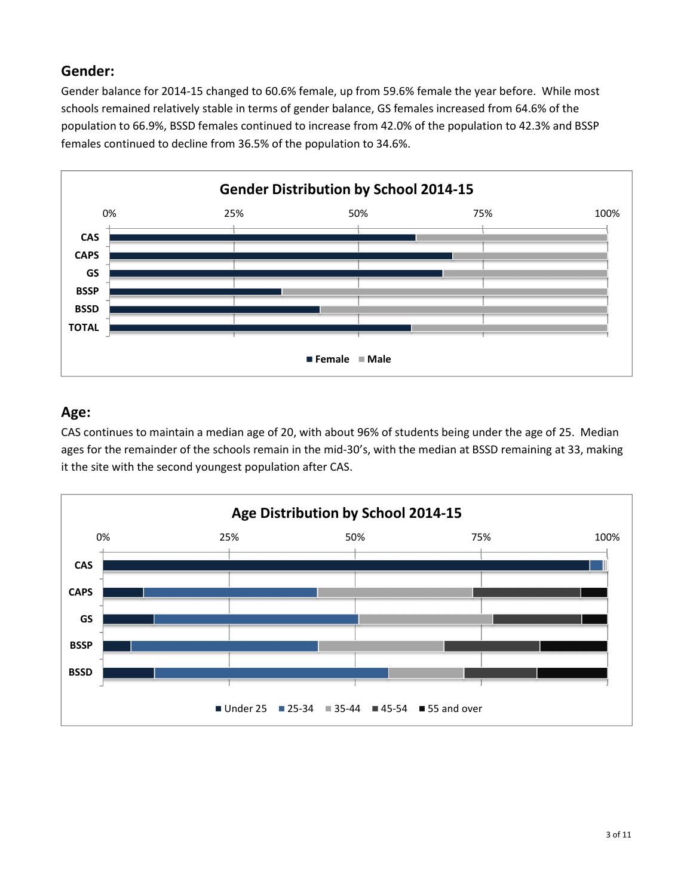## **Gender:**

Gender balance for 2014-15 changed to 60.6% female, up from 59.6% female the year before. While most schools remained relatively stable in terms of gender balance, GS females increased from 64.6% of the population to 66.9%, BSSD females continued to increase from 42.0% of the population to 42.3% and BSSP females continued to decline from 36.5% of the population to 34.6%.



## **Age:**

CAS continues to maintain a median age of 20, with about 96% of students being under the age of 25. Median ages for the remainder of the schools remain in the mid-30's, with the median at BSSD remaining at 33, making it the site with the second youngest population after CAS.

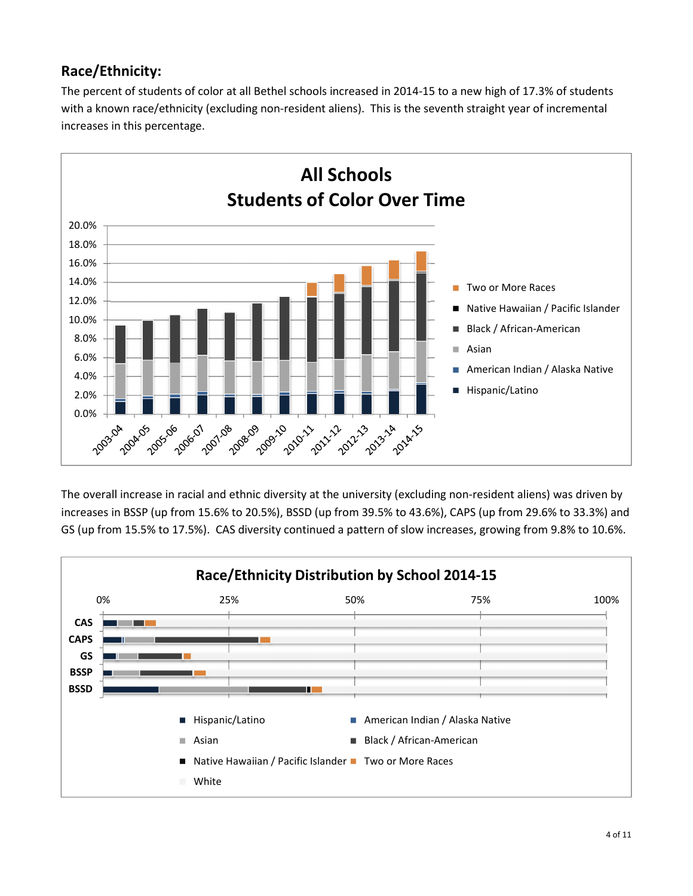## **Race/Ethnicity:**

The percent of students of color at all Bethel schools increased in 2014-15 to a new high of 17.3% of students with a known race/ethnicity (excluding non-resident aliens). This is the seventh straight year of incremental increases in this percentage.



The overall increase in racial and ethnic diversity at the university (excluding non-resident aliens) was driven by increases in BSSP (up from 15.6% to 20.5%), BSSD (up from 39.5% to 43.6%), CAPS (up from 29.6% to 33.3%) and GS (up from 15.5% to 17.5%). CAS diversity continued a pattern of slow increases, growing from 9.8% to 10.6%.

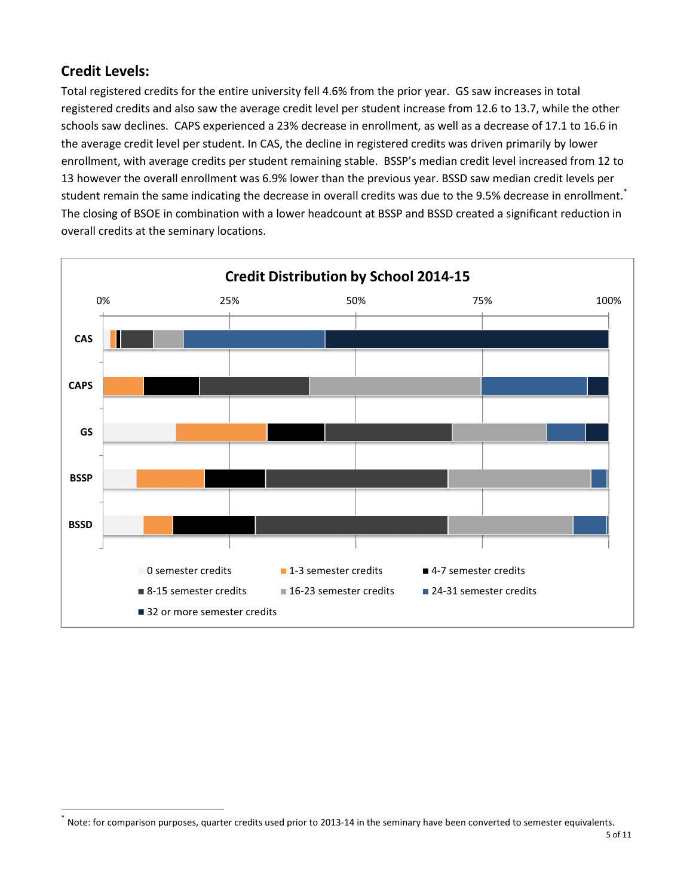## **Credit Levels:**

 $\overline{a}$ 

Total registered credits for the entire university fell 4.6% from the prior year. GS saw increases in total registered credits and also saw the average credit level per student increase from 12.6 to 13.7, while the other schools saw declines. CAPS experienced a 23% decrease in enrollment, as well as a decrease of 17.1 to 16.6 in the average credit level per student. In CAS, the decline in registered credits was driven primarily by lower enrollment, with average credits per student remaining stable. BSSP's median credit level increased from 12 to 13 however the overall enrollment was 6.9% lower than the previous year. BSSD saw median credit levels per student remain the same indicating the decrease in overall credits was due to the 9.5% decrease in enrollment.<sup>\*</sup> The closing of BSOE in combination with a lower headcount at BSSP and BSSD created a significant reduction in overall credits at the seminary locations.



<sup>\*</sup> Note: for comparison purposes, quarter credits used prior to 2013-14 in the seminary have been converted to semester equivalents.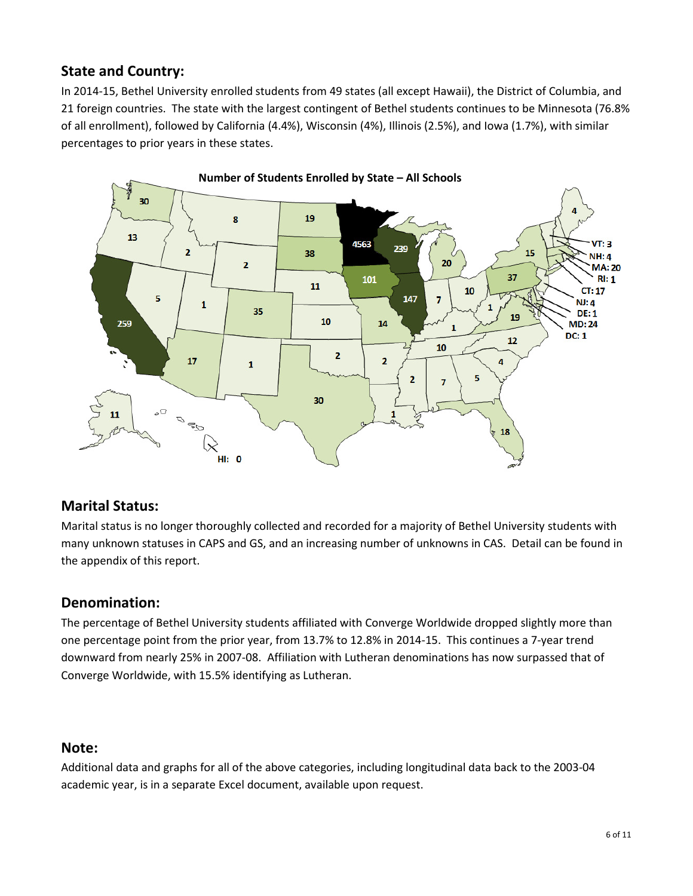## **State and Country:**

In 2014-15, Bethel University enrolled students from 49 states (all except Hawaii), the District of Columbia, and 21 foreign countries. The state with the largest contingent of Bethel students continues to be Minnesota (76.8% of all enrollment), followed by California (4.4%), Wisconsin (4%), Illinois (2.5%), and Iowa (1.7%), with similar percentages to prior years in these states.



#### **Marital Status:**

Marital status is no longer thoroughly collected and recorded for a majority of Bethel University students with many unknown statuses in CAPS and GS, and an increasing number of unknowns in CAS. Detail can be found in the appendix of this report.

#### **Denomination:**

The percentage of Bethel University students affiliated with Converge Worldwide dropped slightly more than one percentage point from the prior year, from 13.7% to 12.8% in 2014-15. This continues a 7-year trend downward from nearly 25% in 2007-08. Affiliation with Lutheran denominations has now surpassed that of Converge Worldwide, with 15.5% identifying as Lutheran.

#### **Note:**

Additional data and graphs for all of the above categories, including longitudinal data back to the 2003-04 academic year, is in a separate Excel document, available upon request.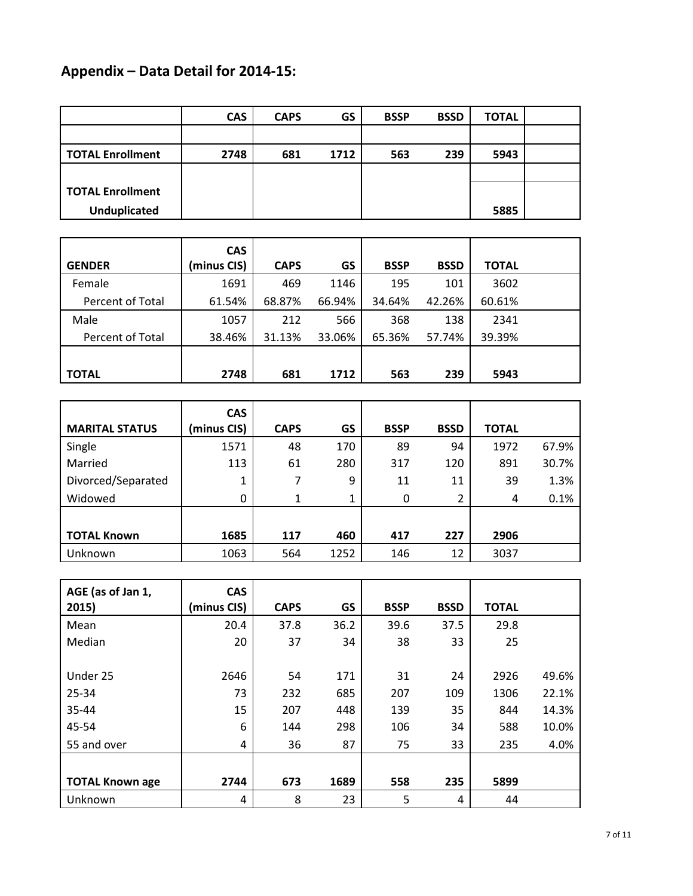# **Appendix – Data Detail for 2014-15:**

|                         | <b>CAS</b> | <b>CAPS</b> | GS   | <b>BSSP</b> | <b>BSSD</b> | <b>TOTAL</b> |  |
|-------------------------|------------|-------------|------|-------------|-------------|--------------|--|
|                         |            |             |      |             |             |              |  |
| <b>TOTAL Enrollment</b> | 2748       | 681         | 1712 | 563         | 239         | 5943         |  |
|                         |            |             |      |             |             |              |  |
| <b>TOTAL Enrollment</b> |            |             |      |             |             |              |  |
| <b>Unduplicated</b>     |            |             |      |             |             | 5885         |  |

|                  | <b>CAS</b>  |             |        |             |             |              |  |
|------------------|-------------|-------------|--------|-------------|-------------|--------------|--|
| <b>GENDER</b>    | (minus CIS) | <b>CAPS</b> | GS     | <b>BSSP</b> | <b>BSSD</b> | <b>TOTAL</b> |  |
| Female           | 1691        | 469         | 1146   | 195         | 101         | 3602         |  |
| Percent of Total | 61.54%      | 68.87%      | 66.94% | 34.64%      | 42.26%      | 60.61%       |  |
| Male             | 1057        | 212         | 566    | 368         | 138         | 2341         |  |
| Percent of Total | 38.46%      | 31.13%      | 33.06% | 65.36%      | 57.74%      | 39.39%       |  |
|                  |             |             |        |             |             |              |  |
| <b>TOTAL</b>     | 2748        | 681         | 1712   | 563         | 239         | 5943         |  |

|                       | <b>CAS</b>   |             |      |             |             |              |       |
|-----------------------|--------------|-------------|------|-------------|-------------|--------------|-------|
| <b>MARITAL STATUS</b> | (minus CIS)  | <b>CAPS</b> | GS   | <b>BSSP</b> | <b>BSSD</b> | <b>TOTAL</b> |       |
| Single                | 1571         | 48          | 170  | 89          | 94          | 1972         | 67.9% |
| Married               | 113          | 61          | 280  | 317         | 120         | 891          | 30.7% |
| Divorced/Separated    | 1            | 7           | 9    | 11          | 11          | 39           | 1.3%  |
| Widowed               | $\mathbf{0}$ |             | 1    | $\Omega$    |             | 4            | 0.1%  |
|                       |              |             |      |             |             |              |       |
| <b>TOTAL Known</b>    | 1685         | 117         | 460  | 417         | 227         | 2906         |       |
| Unknown               | 1063         | 564         | 1252 | 146         | 12          | 3037         |       |

| AGE (as of Jan 1,<br>2015) | <b>CAS</b><br>(minus CIS) | <b>CAPS</b> | GS   | <b>BSSP</b> | <b>BSSD</b> | <b>TOTAL</b> |       |
|----------------------------|---------------------------|-------------|------|-------------|-------------|--------------|-------|
| Mean                       | 20.4                      | 37.8        | 36.2 | 39.6        | 37.5        | 29.8         |       |
| Median                     | 20                        | 37          | 34   | 38          | 33          | 25           |       |
|                            |                           |             |      |             |             |              |       |
| Under 25                   | 2646                      | 54          | 171  | 31          | 24          | 2926         | 49.6% |
| 25-34                      | 73                        | 232         | 685  | 207         | 109         | 1306         | 22.1% |
| 35-44                      | 15                        | 207         | 448  | 139         | 35          | 844          | 14.3% |
| 45-54                      | 6                         | 144         | 298  | 106         | 34          | 588          | 10.0% |
| 55 and over                | 4                         | 36          | 87   | 75          | 33          | 235          | 4.0%  |
|                            |                           |             |      |             |             |              |       |
| <b>TOTAL Known age</b>     | 2744                      | 673         | 1689 | 558         | 235         | 5899         |       |
| Unknown                    | 4                         | 8           | 23   | 5           | 4           | 44           |       |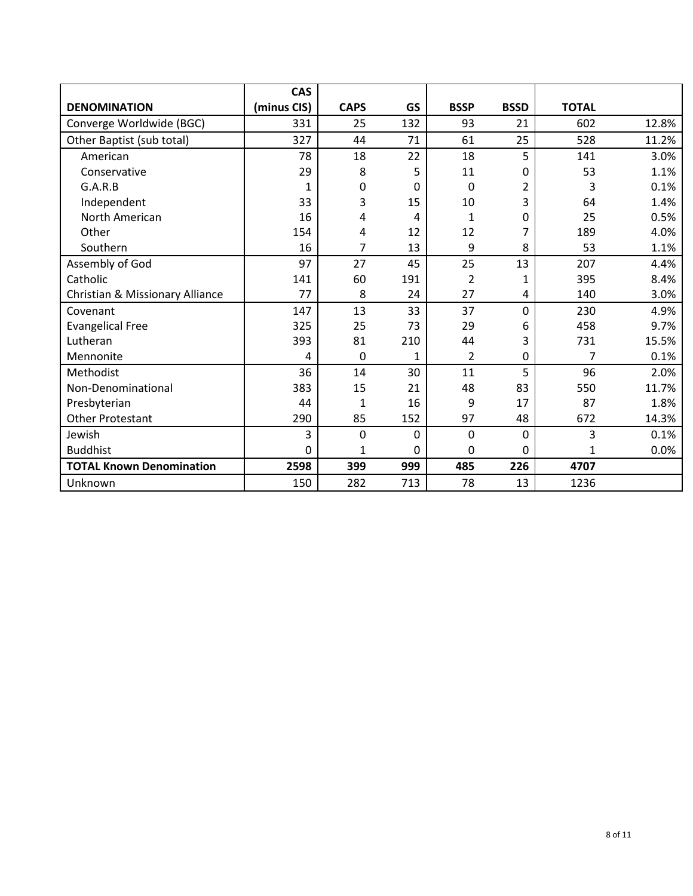|                                 | <b>CAS</b>  |             |             |                |                  |              |       |
|---------------------------------|-------------|-------------|-------------|----------------|------------------|--------------|-------|
| <b>DENOMINATION</b>             | (minus CIS) | <b>CAPS</b> | GS          | <b>BSSP</b>    | <b>BSSD</b>      | <b>TOTAL</b> |       |
| Converge Worldwide (BGC)        | 331         | 25          | 132         | 93             | 21               | 602          | 12.8% |
| Other Baptist (sub total)       | 327         | 44          | 71          | 61             | 25               | 528          | 11.2% |
| American                        | 78          | 18          | 22          | 18             | 5                | 141          | 3.0%  |
| Conservative                    | 29          | 8           | 5           | 11             | 0                | 53           | 1.1%  |
| G.A.R.B                         | 1           | 0           | 0           | 0              | 2                | 3            | 0.1%  |
| Independent                     | 33          | 3           | 15          | 10             | 3                | 64           | 1.4%  |
| North American                  | 16          | 4           | 4           | 1              | 0                | 25           | 0.5%  |
| Other                           | 154         | 4           | 12          | 12             | 7                | 189          | 4.0%  |
| Southern                        | 16          | 7           | 13          | 9              | 8                | 53           | 1.1%  |
| Assembly of God                 | 97          | 27          | 45          | 25             | 13               | 207          | 4.4%  |
| Catholic                        | 141         | 60          | 191         | $\overline{2}$ | 1                | 395          | 8.4%  |
| Christian & Missionary Alliance | 77          | 8           | 24          | 27             | 4                | 140          | 3.0%  |
| Covenant                        | 147         | 13          | 33          | 37             | $\mathbf 0$      | 230          | 4.9%  |
| <b>Evangelical Free</b>         | 325         | 25          | 73          | 29             | 6                | 458          | 9.7%  |
| Lutheran                        | 393         | 81          | 210         | 44             | 3                | 731          | 15.5% |
| Mennonite                       | 4           | $\mathbf 0$ | 1           | $\overline{2}$ | $\boldsymbol{0}$ | 7            | 0.1%  |
| Methodist                       | 36          | 14          | 30          | 11             | 5                | 96           | 2.0%  |
| Non-Denominational              | 383         | 15          | 21          | 48             | 83               | 550          | 11.7% |
| Presbyterian                    | 44          | 1           | 16          | 9              | 17               | 87           | 1.8%  |
| <b>Other Protestant</b>         | 290         | 85          | 152         | 97             | 48               | 672          | 14.3% |
| Jewish                          | 3           | $\mathbf 0$ | $\mathbf 0$ | $\mathbf 0$    | $\mathbf 0$      | 3            | 0.1%  |
| <b>Buddhist</b>                 | 0           | 1           | 0           | $\mathbf 0$    | 0                | 1            | 0.0%  |
| <b>TOTAL Known Denomination</b> | 2598        | 399         | 999         | 485            | 226              | 4707         |       |
| Unknown                         | 150         | 282         | 713         | 78             | 13               | 1236         |       |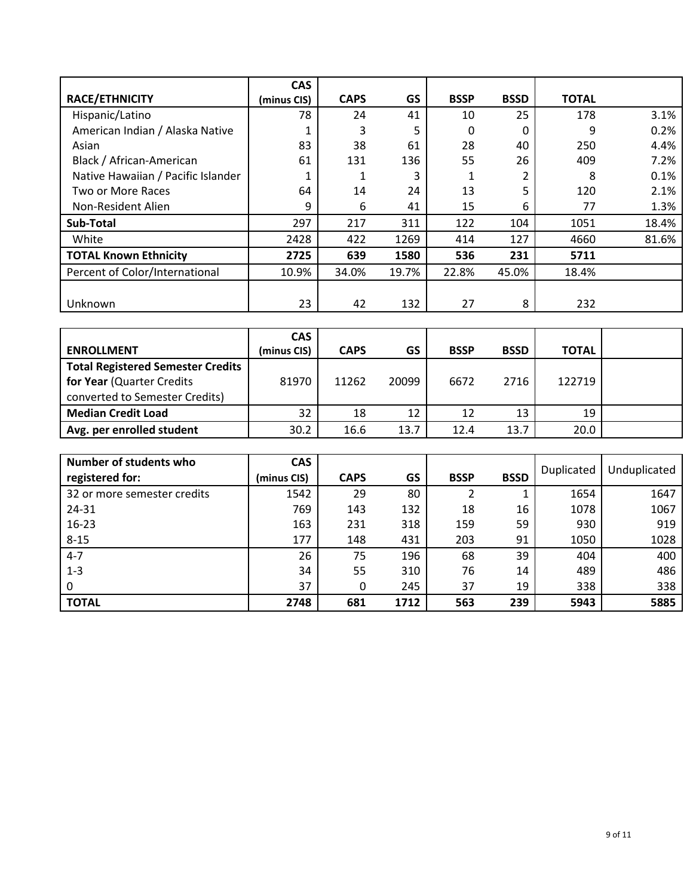|                                    | <b>CAS</b>  |             |       |             |             |              |       |
|------------------------------------|-------------|-------------|-------|-------------|-------------|--------------|-------|
| <b>RACE/ETHNICITY</b>              | (minus CIS) | <b>CAPS</b> | GS    | <b>BSSP</b> | <b>BSSD</b> | <b>TOTAL</b> |       |
| Hispanic/Latino                    | 78          | 24          | 41    | 10          | 25          | 178          | 3.1%  |
| American Indian / Alaska Native    |             | 3           | 5     | 0           | 0           | 9            | 0.2%  |
| Asian                              | 83          | 38          | 61    | 28          | 40          | 250          | 4.4%  |
| Black / African-American           | 61          | 131         | 136   | 55          | 26          | 409          | 7.2%  |
| Native Hawaiian / Pacific Islander |             |             | 3     |             | 2           | 8            | 0.1%  |
| Two or More Races                  | 64          | 14          | 24    | 13          | 5           | 120          | 2.1%  |
| Non-Resident Alien                 | 9           | 6           | 41    | 15          | 6           | 77           | 1.3%  |
| Sub-Total                          | 297         | 217         | 311   | 122         | 104         | 1051         | 18.4% |
| White                              | 2428        | 422         | 1269  | 414         | 127         | 4660         | 81.6% |
| <b>TOTAL Known Ethnicity</b>       | 2725        | 639         | 1580  | 536         | 231         | 5711         |       |
| Percent of Color/International     | 10.9%       | 34.0%       | 19.7% | 22.8%       | 45.0%       | 18.4%        |       |
|                                    |             |             |       |             |             |              |       |
| Unknown                            | 23          | 42          | 132   | 27          | 8           | 232          |       |

| <b>ENROLLMENT</b>                                                                                       | <b>CAS</b><br>(minus CIS) | <b>CAPS</b> | GS    | <b>BSSP</b> | <b>BSSD</b> | <b>TOTAL</b> |  |
|---------------------------------------------------------------------------------------------------------|---------------------------|-------------|-------|-------------|-------------|--------------|--|
| <b>Total Registered Semester Credits</b><br>for Year (Quarter Credits<br>converted to Semester Credits) | 81970                     | 11262       | 20099 | 6672        | 2716        | 122719       |  |
| <b>Median Credit Load</b>                                                                               | 32                        | 18          | 12    | 12          | 13          | 19           |  |
| Avg. per enrolled student                                                                               | 30.2                      | 16.6        | 13.7  | 12.4        | 13.7        | 20.0         |  |

| Number of students who<br>registered for: | <b>CAS</b><br>(minus CIS) | <b>CAPS</b> | <b>GS</b> | <b>BSSP</b> | <b>BSSD</b> | Duplicated | Unduplicated |
|-------------------------------------------|---------------------------|-------------|-----------|-------------|-------------|------------|--------------|
| 32 or more semester credits               | 1542                      | 29          | 80        |             | Ŧ.          | 1654       | 1647         |
| 24-31                                     | 769                       | 143         | 132       | 18          | 16          | 1078       | 1067         |
| 16-23                                     | 163                       | 231         | 318       | 159         | 59          | 930        | 919          |
| $8 - 15$                                  | 177                       | 148         | 431       | 203         | 91          | 1050       | 1028         |
| $4 - 7$                                   | 26                        | 75          | 196       | 68          | 39          | 404        | 400          |
| $1 - 3$                                   | 34                        | 55          | 310       | 76          | 14          | 489        | 486          |
| 0                                         | 37                        | 0           | 245       | 37          | 19          | 338        | 338          |
| <b>TOTAL</b>                              | 2748                      | 681         | 1712      | 563         | 239         | 5943       | 5885         |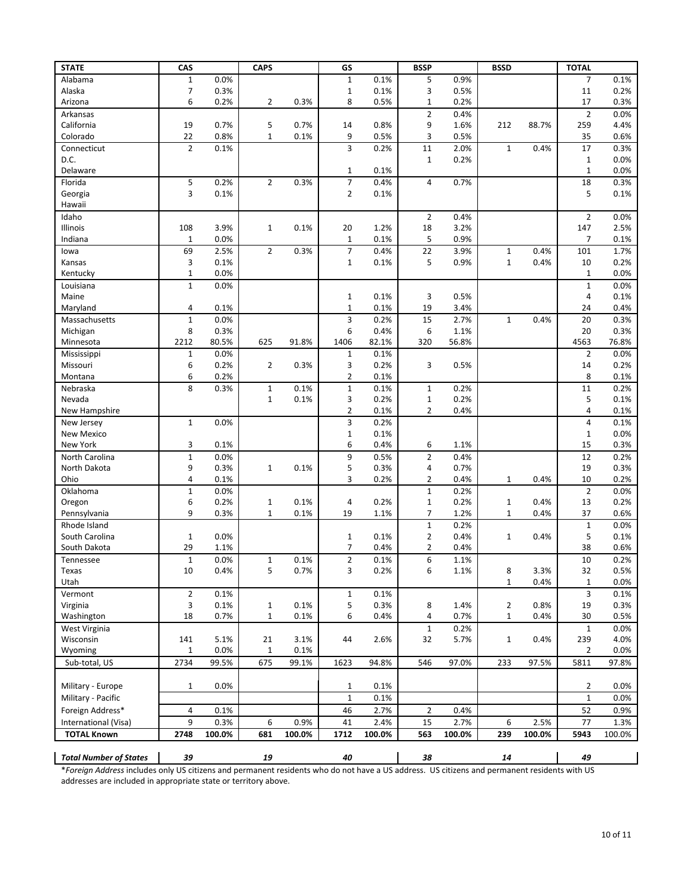| <b>STATE</b>                  | CAS            |              | <b>CAPS</b>    |        | GS                  |              | <b>BSSP</b>         |              | <b>BSSD</b>    |        | <b>TOTAL</b>   |              |
|-------------------------------|----------------|--------------|----------------|--------|---------------------|--------------|---------------------|--------------|----------------|--------|----------------|--------------|
| Alabama                       | $\mathbf 1$    | 0.0%         |                |        | $\mathbf{1}$        | 0.1%         | 5                   | 0.9%         |                |        | $\overline{7}$ | 0.1%         |
| Alaska                        | $\overline{7}$ | 0.3%         |                |        | $\mathbf{1}$        | 0.1%         | 3                   | 0.5%         |                |        | 11             | 0.2%         |
| Arizona                       | 6              | 0.2%         | $\overline{2}$ | 0.3%   | 8                   | 0.5%         | $\mathbf 1$         | 0.2%         |                |        | 17             | 0.3%         |
| Arkansas                      |                |              |                |        |                     |              | $\overline{2}$      | 0.4%         |                |        | $\overline{2}$ | 0.0%         |
| California                    | 19             | 0.7%         | 5              | 0.7%   | 14                  | 0.8%         | 9                   | 1.6%         | 212            | 88.7%  | 259            | 4.4%         |
| Colorado                      | 22             | 0.8%         | $\mathbf{1}$   | 0.1%   | 9                   | 0.5%         | 3                   | 0.5%         |                |        | 35             | 0.6%         |
| Connecticut                   | $\overline{2}$ | 0.1%         |                |        | 3                   | 0.2%         | 11                  | 2.0%         | $\mathbf 1$    | 0.4%   | 17             | 0.3%         |
| D.C.                          |                |              |                |        |                     |              | $\mathbf{1}$        | 0.2%         |                |        | $\mathbf{1}$   | 0.0%         |
| Delaware                      |                |              |                |        | $\mathbf{1}$        | 0.1%         |                     |              |                |        | $\mathbf 1$    | 0.0%         |
| Florida                       | 5<br>3         | 0.2%<br>0.1% | $\overline{2}$ | 0.3%   | 7<br>$\overline{2}$ | 0.4%<br>0.1% | 4                   | 0.7%         |                |        | 18<br>5        | 0.3%<br>0.1% |
| Georgia<br>Hawaii             |                |              |                |        |                     |              |                     |              |                |        |                |              |
| Idaho                         |                |              |                |        |                     |              | $\overline{2}$      | 0.4%         |                |        | $\overline{2}$ | 0.0%         |
| Illinois                      | 108            | 3.9%         | $\mathbf 1$    | 0.1%   | 20                  | 1.2%         | 18                  | 3.2%         |                |        | 147            | 2.5%         |
| Indiana                       | $\mathbf{1}$   | 0.0%         |                |        | $1\,$               | 0.1%         | 5                   | 0.9%         |                |        | 7              | 0.1%         |
| lowa                          | 69             | 2.5%         | $\overline{2}$ | 0.3%   | $\overline{7}$      | 0.4%         | 22                  | 3.9%         | $\mathbf{1}$   | 0.4%   | 101            | 1.7%         |
| Kansas                        | 3              | 0.1%         |                |        | $1\,$               | 0.1%         | 5                   | 0.9%         | $\mathbf{1}$   | 0.4%   | 10             | 0.2%         |
| Kentucky                      | $\mathbf 1$    | 0.0%         |                |        |                     |              |                     |              |                |        | $\mathbf 1$    | 0.0%         |
| Louisiana                     | $\mathbf{1}$   | 0.0%         |                |        |                     |              |                     |              |                |        | $\mathbf{1}$   | 0.0%         |
| Maine                         |                |              |                |        | $\mathbf 1$         | 0.1%         | 3                   | 0.5%         |                |        | 4              | 0.1%         |
| Maryland                      | 4              | 0.1%         |                |        | $\mathbf 1$         | 0.1%         | 19                  | 3.4%         |                |        | 24             | 0.4%         |
| Massachusetts                 | $\mathbf 1$    | 0.0%         |                |        | 3                   | 0.2%         | 15                  | 2.7%         | $\mathbf{1}$   | 0.4%   | 20             | 0.3%         |
| Michigan                      | 8              | 0.3%         |                |        | 6                   | 0.4%         | 6                   | 1.1%         |                |        | 20             | 0.3%         |
| Minnesota                     | 2212           | 80.5%        | 625            | 91.8%  | 1406                | 82.1%        | 320                 | 56.8%        |                |        | 4563           | 76.8%        |
| Mississippi                   | $\mathbf 1$    | 0.0%         |                |        | $1\,$               | 0.1%         |                     |              |                |        | $\overline{2}$ | 0.0%         |
| Missouri                      | 6              | 0.2%         | $\overline{2}$ | 0.3%   | 3                   | 0.2%         | 3                   | 0.5%         |                |        | 14             | 0.2%         |
| Montana                       | 6              | 0.2%         |                |        | 2                   | 0.1%         |                     |              |                |        | 8              | 0.1%         |
| Nebraska                      | 8              | 0.3%         | $\mathbf 1$    | 0.1%   | $\mathbf 1$         | 0.1%         | $\mathbf{1}$        | 0.2%         |                |        | $11\,$         | 0.2%         |
| Nevada                        |                |              | $\mathbf{1}$   | 0.1%   | 3                   | 0.2%         | $\mathbf 1$         | 0.2%         |                |        | 5              | 0.1%         |
| New Hampshire                 |                |              |                |        | $\overline{2}$      | 0.1%         | $\overline{2}$      | 0.4%         |                |        | 4              | 0.1%         |
| New Jersey                    | $\mathbf 1$    | 0.0%         |                |        | 3                   | 0.2%         |                     |              |                |        | 4              | 0.1%         |
| <b>New Mexico</b>             |                |              |                |        | $\mathbf{1}$        | 0.1%         |                     |              |                |        | $\mathbf{1}$   | 0.0%         |
| New York                      | 3              | 0.1%         |                |        | 6                   | 0.4%         | 6                   | 1.1%         |                |        | 15             | 0.3%         |
| North Carolina                | $\mathbf 1$    | 0.0%         |                |        | 9                   | 0.5%         | $\overline{2}$      | 0.4%         |                |        | 12             | 0.2%         |
| North Dakota<br>Ohio          | 9<br>4         | 0.3%<br>0.1% | 1              | 0.1%   | 5<br>3              | 0.3%<br>0.2% | 4<br>$\overline{2}$ | 0.7%<br>0.4% | $\mathbf{1}$   | 0.4%   | 19<br>10       | 0.3%<br>0.2% |
| Oklahoma                      | $\mathbf 1$    | 0.0%         |                |        |                     |              | $\mathbf 1$         | 0.2%         |                |        | $\overline{2}$ | 0.0%         |
| Oregon                        | 6              | 0.2%         | $\mathbf{1}$   | 0.1%   | 4                   | 0.2%         | $\mathbf 1$         | 0.2%         | 1              | 0.4%   | 13             | 0.2%         |
| Pennsylvania                  | 9              | 0.3%         | $\mathbf{1}$   | 0.1%   | 19                  | 1.1%         | $\overline{7}$      | 1.2%         | $\mathbf{1}$   | 0.4%   | 37             | 0.6%         |
| Rhode Island                  |                |              |                |        |                     |              | $\mathbf{1}$        | 0.2%         |                |        | $\mathbf{1}$   | 0.0%         |
| South Carolina                | $\mathbf 1$    | 0.0%         |                |        | 1                   | 0.1%         | $\overline{2}$      | 0.4%         | $\mathbf{1}$   | 0.4%   | 5              | 0.1%         |
| South Dakota                  | 29             | 1.1%         |                |        | $\overline{7}$      | 0.4%         | $\overline{2}$      | 0.4%         |                |        | 38             | 0.6%         |
| Tennessee                     | $\mathbf 1$    | 0.0%         | $\mathbf{1}$   | 0.1%   | $\overline{2}$      | 0.1%         | 6                   | 1.1%         |                |        | 10             | 0.2%         |
| Texas                         | 10             | 0.4%         | 5              | 0.7%   | 3                   | 0.2%         | 6                   | 1.1%         | 8              | 3.3%   | 32             | 0.5%         |
| Utah                          |                |              |                |        |                     |              |                     |              | $\mathbf{1}$   | 0.4%   | $\mathbf{1}$   | 0.0%         |
| Vermont                       | $\overline{2}$ | 0.1%         |                |        | $\mathbf{1}$        | 0.1%         |                     |              |                |        | 3              | 0.1%         |
| Virginia                      | 3              | 0.1%         | $\mathbf{1}$   | 0.1%   | 5                   | 0.3%         | 8                   | 1.4%         | $\overline{2}$ | 0.8%   | 19             | 0.3%         |
| Washington                    | 18             | 0.7%         | $\mathbf 1$    | 0.1%   | 6                   | 0.4%         | 4                   | 0.7%         | $\mathbf{1}$   | 0.4%   | 30             | 0.5%         |
| West Virginia                 |                |              |                |        |                     |              | $\mathbf 1$         | 0.2%         |                |        | $\mathbf{1}$   | 0.0%         |
| Wisconsin                     | 141            | 5.1%         | 21             | 3.1%   | 44                  | 2.6%         | 32                  | 5.7%         | $\mathbf{1}$   | 0.4%   | 239            | 4.0%         |
| Wyoming                       | $1\,$          | 0.0%         | $\mathbf 1$    | 0.1%   |                     |              |                     |              |                |        | 2              | 0.0%         |
| Sub-total, US                 | 2734           | 99.5%        | 675            | 99.1%  | 1623                | 94.8%        | 546                 | 97.0%        | 233            | 97.5%  | 5811           | 97.8%        |
|                               |                |              |                |        |                     |              |                     |              |                |        |                |              |
| Military - Europe             | $\mathbf 1$    | 0.0%         |                |        | 1                   | 0.1%         |                     |              |                |        | $\overline{2}$ | 0.0%         |
| Military - Pacific            |                |              |                |        | $\mathbf{1}$        | 0.1%         |                     |              |                |        | $\mathbf{1}$   | 0.0%         |
| Foreign Address*              | 4              | 0.1%         |                |        | 46                  | 2.7%         | $\overline{2}$      | 0.4%         |                |        | 52             | 0.9%         |
| International (Visa)          | 9              | 0.3%         | 6              | 0.9%   | 41                  | 2.4%         | 15                  | 2.7%         | 6              | 2.5%   | $77 \,$        | 1.3%         |
| <b>TOTAL Known</b>            | 2748           | 100.0%       | 681            | 100.0% | 1712                | 100.0%       | 563                 | 100.0%       | 239            | 100.0% | 5943           | 100.0%       |
|                               |                |              |                |        |                     |              |                     |              |                |        |                |              |
| <b>Total Number of States</b> | 39             |              | 19             |        | 40                  |              | 38                  |              | $\bf{14}$      |        | 49             |              |

\**Foreign Address* includes only US citizens and permanent residents who do not have a US address. US citizens and permanent residents with US addresses are included in appropriate state or territory above.